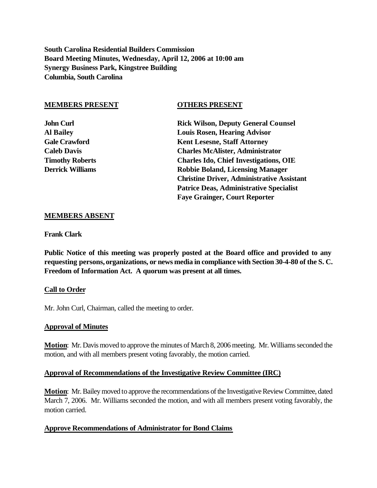**South Carolina Residential Builders Commission Board Meeting Minutes, Wednesday, April 12, 2006 at 10:00 am Synergy Business Park, Kingstree Building Columbia, South Carolina**

#### **MEMBERS PRESENT OTHERS PRESENT**

**John Curl Rick Wilson, Deputy General Counsel Al Bailey Louis Rosen, Hearing Advisor** Gale Crawford **Kent Lesesne, Staff Attorney Caleb Davis Charles McAlister, Administrator Timothy Roberts Charles Ido, Chief Investigations, OIE Derrick Williams Robbie Boland, Licensing Manager Christine Driver, Administrative Assistant Patrice Deas, Administrative Specialist Faye Grainger, Court Reporter**

#### **MEMBERS ABSENT**

**Frank Clark**

**Public Notice of this meeting was properly posted at the Board office and provided to any requesting persons, organizations, or news media in compliance with Section 30-4-80 of the S. C. Freedom of Information Act. A quorum was present at all times.**

#### **Call to Order**

Mr. John Curl, Chairman, called the meeting to order.

#### **Approval of Minutes**

**Motion**: Mr. Davis moved to approve the minutes of March 8, 2006 meeting. Mr. Williams seconded the motion, and with all members present voting favorably, the motion carried.

#### **Approval of Recommendations of the Investigative Review Committee (IRC)**

**Motion**: Mr. Bailey moved to approve the recommendations of the Investigative Review Committee, dated March 7, 2006. Mr. Williams seconded the motion, and with all members present voting favorably, the motion carried.

#### **Approve Recommendations of Administrator for Bond Claims**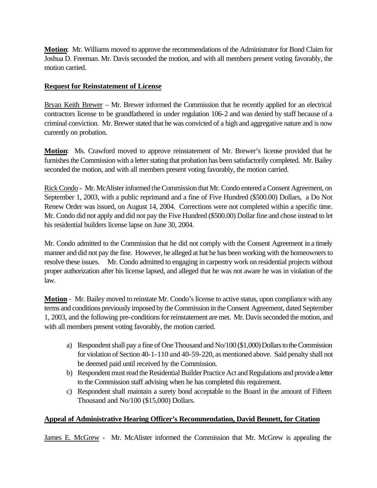**Motion**: Mr. Williams moved to approve the recommendations of the Administrator for Bond Claim for Joshua D. Freeman. Mr. Davis seconded the motion, and with all members present voting favorably, the motion carried.

# **Request for Reinstatement of License**

Bryan Keith Brewer – Mr. Brewer informed the Commission that he recently applied for an electrical contractors license to be grandfathered in under regulation 106-2 and was denied by staff because of a criminal conviction. Mr. Brewer stated that he was convicted of a high and aggregative nature and is now currently on probation.

**Motion**: Ms. Crawford moved to approve reinstatement of Mr. Brewer's license provided that he furnishes the Commission with a letter stating that probation has been satisfactorily completed. Mr. Bailey seconded the motion, and with all members present voting favorably, the motion carried.

Rick Condo - Mr. McAlister informed the Commission that Mr. Condo entered a Consent Agreement, on September 1, 2003, with a public reprimand and a fine of Five Hundred (\$500.00) Dollars, a Do Not Renew Order was issued, on August 14, 2004. Corrections were not completed within a specific time. Mr. Condo did not apply and did not pay the Five Hundred (\$500.00) Dollar fine and chose instead to let his residential builders license lapse on June 30, 2004.

Mr. Condo admitted to the Commission that he did not comply with the Consent Agreement in a timely manner and did not pay the fine. However, he alleged at hat he has been working with the homeowners to resolve these issues. Mr. Condo admitted to engaging in carpentry work on residential projects without proper authorization after his license lapsed, and alleged that he was not aware he was in violation of the law.

**Motion** - Mr. Bailey moved to reinstate Mr. Condo's license to active status, upon compliance with any terms and conditions previously imposed by the Commission in the Consent Agreement, dated September 1, 2003, and the following pre-conditions for reinstatement are met. Mr. Davis seconded the motion, and with all members present voting favorably, the motion carried.

- a) Respondent shall pay a fine of One Thousand and No/100 (\$1,000) Dollars to the Commission for violation of Section 40-1-110 and 40-59-220, as mentioned above. Said penalty shall not be deemed paid until received by the Commission.
- b) Respondent must read the Residential Builder Practice Act and Regulations and provide a letter to the Commission staff advising when he has completed this requirement.
- c) Respondent shall maintain a surety bond acceptable to the Board in the amount of Fifteen Thousand and No/100 (\$15,000) Dollars.

# **Appeal of Administrative Hearing Officer's Recommendation, David Bennett, for Citation**

James E. McGrew - Mr. McAlister informed the Commission that Mr. McGrew is appealing the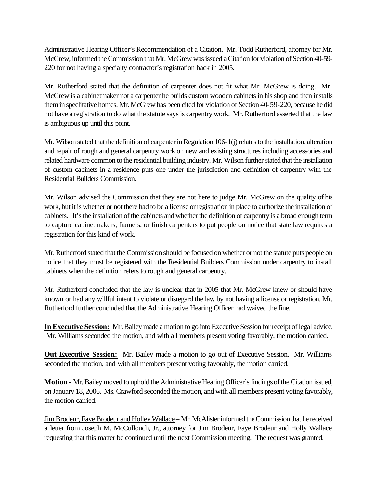Administrative Hearing Officer's Recommendation of a Citation. Mr. Todd Rutherford, attorney for Mr. McGrew, informed the Commission that Mr. McGrew was issued a Citation for violation of Section 40-59- 220 for not having a specialty contractor's registration back in 2005.

Mr. Rutherford stated that the definition of carpenter does not fit what Mr. McGrew is doing. Mr. McGrew is a cabinetmaker not a carpenter he builds custom wooden cabinets in his shop and then installs them in speclitative homes. Mr. McGrew has been cited for violation of Section 40-59-220, because he did not have a registration to do what the statute says is carpentry work. Mr. Rutherford asserted that the law is ambiguous up until this point.

Mr. Wilson stated that the definition of carpenter in Regulation 106-1(j) relates to the installation, alteration and repair of rough and general carpentry work on new and existing structures including accessories and related hardware common to the residential building industry. Mr. Wilson further stated that the installation of custom cabinets in a residence puts one under the jurisdiction and definition of carpentry with the Residential Builders Commission.

Mr. Wilson advised the Commission that they are not here to judge Mr. McGrew on the quality of his work, but it is whether or not there had to be a license or registration in place to authorize the installation of cabinets. It's the installation of the cabinets and whether the definition of carpentry is a broad enough term to capture cabinetmakers, framers, or finish carpenters to put people on notice that state law requires a registration for this kind of work.

Mr. Rutherford stated that the Commission should be focused on whether or not the statute puts people on notice that they must be registered with the Residential Builders Commission under carpentry to install cabinets when the definition refers to rough and general carpentry.

Mr. Rutherford concluded that the law is unclear that in 2005 that Mr. McGrew knew or should have known or had any willful intent to violate or disregard the law by not having a license or registration. Mr. Rutherford further concluded that the Administrative Hearing Officer had waived the fine.

**In Executive Session:** Mr. Bailey made a motion to go into Executive Session for receipt of legal advice. Mr. Williams seconded the motion, and with all members present voting favorably, the motion carried.

**Out Executive Session:** Mr. Bailey made a motion to go out of Executive Session. Mr. Williams seconded the motion, and with all members present voting favorably, the motion carried.

**Motion** - Mr. Bailey moved to uphold the Administrative Hearing Officer's findings of the Citation issued, on January 18, 2006. Ms. Crawford seconded the motion, and with all members present voting favorably, the motion carried.

Jim Brodeur, Faye Brodeur and Holley Wallace – Mr. McAlister informed the Commission that he received a letter from Joseph M. McCullouch, Jr., attorney for Jim Brodeur, Faye Brodeur and Holly Wallace requesting that this matter be continued until the next Commission meeting. The request was granted.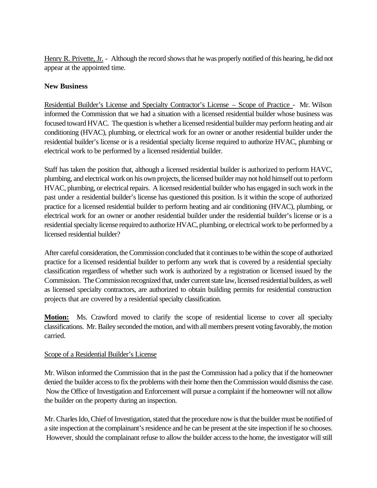Henry R. Privette, Jr. - Although the record shows that he was properly notified of this hearing, he did not appear at the appointed time.

# **New Business**

Residential Builder's License and Specialty Contractor's License – Scope of Practice - Mr. Wilson informed the Commission that we had a situation with a licensed residential builder whose business was focused toward HVAC. The question is whether a licensed residential builder may perform heating and air conditioning (HVAC), plumbing, or electrical work for an owner or another residential builder under the residential builder's license or is a residential specialty license required to authorize HVAC, plumbing or electrical work to be performed by a licensed residential builder.

Staff has taken the position that, although a licensed residential builder is authorized to perform HAVC, plumbing, and electrical work on his own projects, the licensed builder may not hold himself out to perform HVAC, plumbing, or electrical repairs. A licensed residential builder who has engaged in such work in the past under a residential builder's license has questioned this position. Is it within the scope of authorized practice for a licensed residential builder to perform heating and air conditioning (HVAC), plumbing, or electrical work for an owner or another residential builder under the residential builder's license or is a residential specialty license required to authorize HVAC, plumbing, or electrical work to be performed by a licensed residential builder?

After careful consideration, the Commission concluded that it continues to be within the scope of authorized practice for a licensed residential builder to perform any work that is covered by a residential specialty classification regardless of whether such work is authorized by a registration or licensed issued by the Commission. The Commission recognized that, under current state law, licensed residential builders, as well as licensed specialty contractors, are authorized to obtain building permits for residential construction projects that are covered by a residential specialty classification.

**Motion:** Ms. Crawford moved to clarify the scope of residential license to cover all specialty classifications. Mr. Bailey seconded the motion, and with all members present voting favorably, the motion carried.

# Scope of a Residential Builder's License

Mr. Wilson informed the Commission that in the past the Commission had a policy that if the homeowner denied the builder access to fix the problems with their home then the Commission would dismiss the case. Now the Office of Investigation and Enforcement will pursue a complaint if the homeowner will not allow the builder on the property during an inspection.

Mr. Charles Ido, Chief of Investigation, stated that the procedure now is that the builder must be notified of a site inspection at the complainant's residence and he can be present at the site inspection if he so chooses. However, should the complainant refuse to allow the builder access to the home, the investigator will still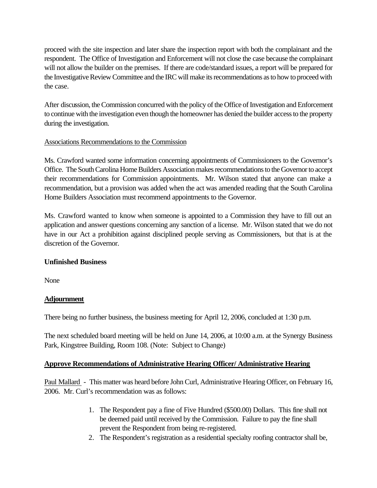proceed with the site inspection and later share the inspection report with both the complainant and the respondent. The Office of Investigation and Enforcement will not close the case because the complainant will not allow the builder on the premises. If there are code/standard issues, a report will be prepared for the Investigative Review Committee and the IRC will make its recommendations as to how to proceed with the case.

After discussion, the Commission concurred with the policy of the Office of Investigation and Enforcement to continue with the investigation even though the homeowner has denied the builder access to the property during the investigation.

# Associations Recommendations to the Commission

Ms. Crawford wanted some information concerning appointments of Commissioners to the Governor's Office. The South Carolina Home Builders Association makes recommendations to the Governor to accept their recommendations for Commission appointments. Mr. Wilson stated that anyone can make a recommendation, but a provision was added when the act was amended reading that the South Carolina Home Builders Association must recommend appointments to the Governor.

Ms. Crawford wanted to know when someone is appointed to a Commission they have to fill out an application and answer questions concerning any sanction of a license. Mr. Wilson stated that we do not have in our Act a prohibition against disciplined people serving as Commissioners, but that is at the discretion of the Governor.

# **Unfinished Business**

None

# **Adjournment**

There being no further business, the business meeting for April 12, 2006, concluded at 1:30 p.m.

The next scheduled board meeting will be held on June 14, 2006, at 10:00 a.m. at the Synergy Business Park, Kingstree Building, Room 108. (Note: Subject to Change)

# **Approve Recommendations of Administrative Hearing Officer/ Administrative Hearing**

Paul Mallard - This matter was heard before John Curl, Administrative Hearing Officer, on February 16, 2006. Mr. Curl's recommendation was as follows:

- 1. The Respondent pay a fine of Five Hundred (\$500.00) Dollars. This fine shall not be deemed paid until received by the Commission. Failure to pay the fine shall prevent the Respondent from being re-registered.
- 2. The Respondent's registration as a residential specialty roofing contractor shall be,